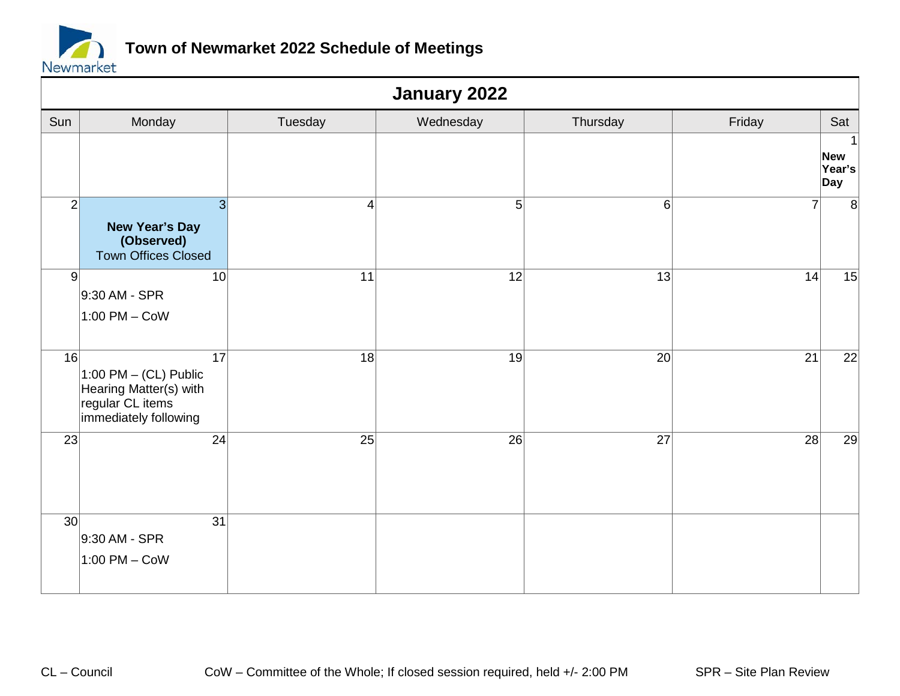

|                 | January 2022                                                                                                      |                |                 |                 |                 |                                  |  |  |
|-----------------|-------------------------------------------------------------------------------------------------------------------|----------------|-----------------|-----------------|-----------------|----------------------------------|--|--|
| Sun             | Monday                                                                                                            | Tuesday        | Wednesday       | Thursday        | Friday          | Sat                              |  |  |
|                 |                                                                                                                   |                |                 |                 |                 | 1<br><b>New</b><br>Year's<br>Day |  |  |
| $\mathbf{2}$    | $\overline{3}$<br><b>New Year's Day</b><br>(Observed)<br><b>Town Offices Closed</b>                               | $\overline{4}$ | 5               | 6               | $\overline{7}$  | 8                                |  |  |
| 9               | 10 <sup>1</sup><br>9:30 AM - SPR<br>$1:00$ PM – CoW                                                               | 11             | 12              | 13              | 14              | 15                               |  |  |
| 16              | $\overline{17}$<br>1:00 PM $-$ (CL) Public<br>Hearing Matter(s) with<br>regular CL items<br>immediately following | 18             | 19              | 20              | $\overline{21}$ | 22                               |  |  |
| 23              | 24                                                                                                                | 25             | $\overline{26}$ | $\overline{27}$ | 28              | 29                               |  |  |
| 30 <sup>2</sup> | 31<br>9:30 AM - SPR<br>1:00 PM - CoW                                                                              |                |                 |                 |                 |                                  |  |  |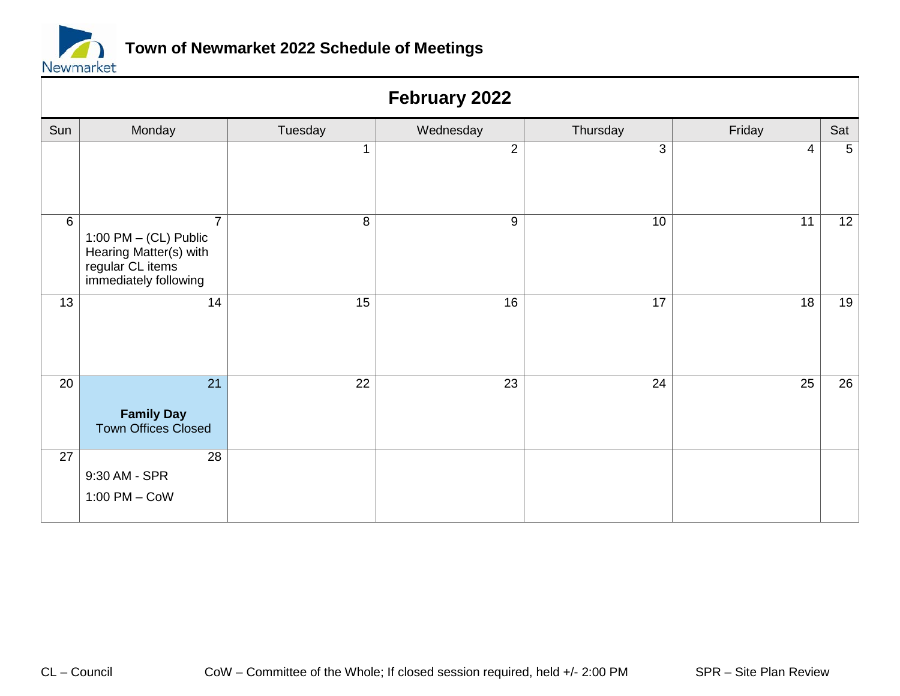

|       | February 2022                                                                                                    |                 |                 |                 |                 |                 |  |  |
|-------|------------------------------------------------------------------------------------------------------------------|-----------------|-----------------|-----------------|-----------------|-----------------|--|--|
| Sun   | Monday                                                                                                           | Tuesday         | Wednesday       | Thursday        | Friday          | Sat             |  |  |
|       |                                                                                                                  |                 | $\overline{2}$  | 3               | $\overline{4}$  | $5\phantom{.0}$ |  |  |
| $6\,$ | $\overline{7}$<br>1:00 PM $-$ (CL) Public<br>Hearing Matter(s) with<br>regular CL items<br>immediately following | 8               | 9               | 10              | 11              | 12              |  |  |
| 13    | $\overline{14}$                                                                                                  | $\overline{15}$ | $\overline{16}$ | $\overline{17}$ | $\overline{18}$ | 19              |  |  |
| 20    | $\overline{21}$<br><b>Family Day</b><br><b>Town Offices Closed</b>                                               | $\overline{22}$ | $\overline{23}$ | $\overline{24}$ | $\overline{25}$ | $\overline{26}$ |  |  |
| 27    | 28<br>9:30 AM - SPR<br>$1:00$ PM $-$ CoW                                                                         |                 |                 |                 |                 |                 |  |  |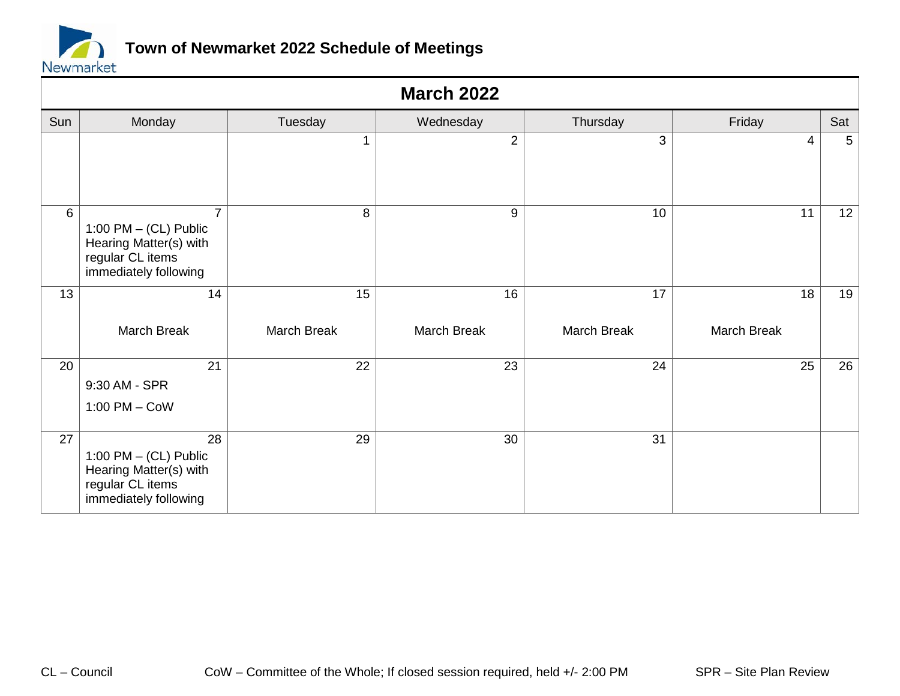

|     | <b>March 2022</b>                                                                                                 |                   |                   |                   |                                |                 |  |  |  |
|-----|-------------------------------------------------------------------------------------------------------------------|-------------------|-------------------|-------------------|--------------------------------|-----------------|--|--|--|
| Sun | Monday                                                                                                            | Tuesday           | Wednesday         | Thursday          | Friday                         | Sat             |  |  |  |
|     |                                                                                                                   | 1                 | $\overline{2}$    | 3                 | 4                              | $5\phantom{.0}$ |  |  |  |
| 6   | $\overline{7}$<br>1:00 PM $-$ (CL) Public<br>Hearing Matter(s) with<br>regular CL items<br>immediately following  | 8                 | 9                 | 10                | 11                             | 12              |  |  |  |
| 13  | 14<br>March Break                                                                                                 | 15<br>March Break | 16<br>March Break | 17<br>March Break | $\overline{18}$<br>March Break | 19              |  |  |  |
| 20  | $\overline{21}$<br>9:30 AM - SPR<br>$1:00$ PM $-$ CoW                                                             | 22                | $\overline{23}$   | $\overline{24}$   | $\overline{25}$                | 26              |  |  |  |
| 27  | $\overline{28}$<br>1:00 PM $-$ (CL) Public<br>Hearing Matter(s) with<br>regular CL items<br>immediately following | $\overline{29}$   | $\overline{30}$   | $\overline{31}$   |                                |                 |  |  |  |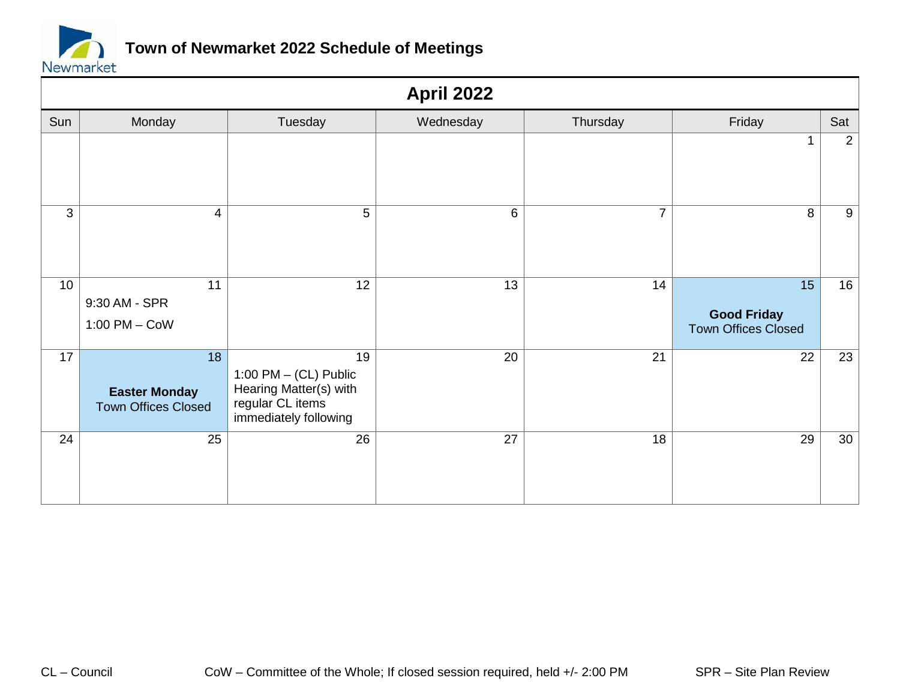

|     | <b>April 2022</b>                                        |                                                                                                      |                 |                |                                                                     |     |  |  |  |
|-----|----------------------------------------------------------|------------------------------------------------------------------------------------------------------|-----------------|----------------|---------------------------------------------------------------------|-----|--|--|--|
| Sun | Monday                                                   | Tuesday                                                                                              | Wednesday       | Thursday       | Friday                                                              | Sat |  |  |  |
|     |                                                          |                                                                                                      |                 |                | 1                                                                   | 2   |  |  |  |
| 3   | 4                                                        | 5                                                                                                    | $6\phantom{1}$  | $\overline{7}$ | 8                                                                   | 9   |  |  |  |
| 10  | 11<br>9:30 AM - SPR<br>$1:00$ PM $-$ CoW                 | $\overline{12}$                                                                                      | $\overline{13}$ | 14             | $\overline{15}$<br><b>Good Friday</b><br><b>Town Offices Closed</b> | 16  |  |  |  |
| 17  | 18<br><b>Easter Monday</b><br><b>Town Offices Closed</b> | 19<br>1:00 PM $-$ (CL) Public<br>Hearing Matter(s) with<br>regular CL items<br>immediately following | 20              | 21             | $\overline{22}$                                                     | 23  |  |  |  |
| 24  | 25                                                       | 26                                                                                                   | 27              | 18             | 29                                                                  | 30  |  |  |  |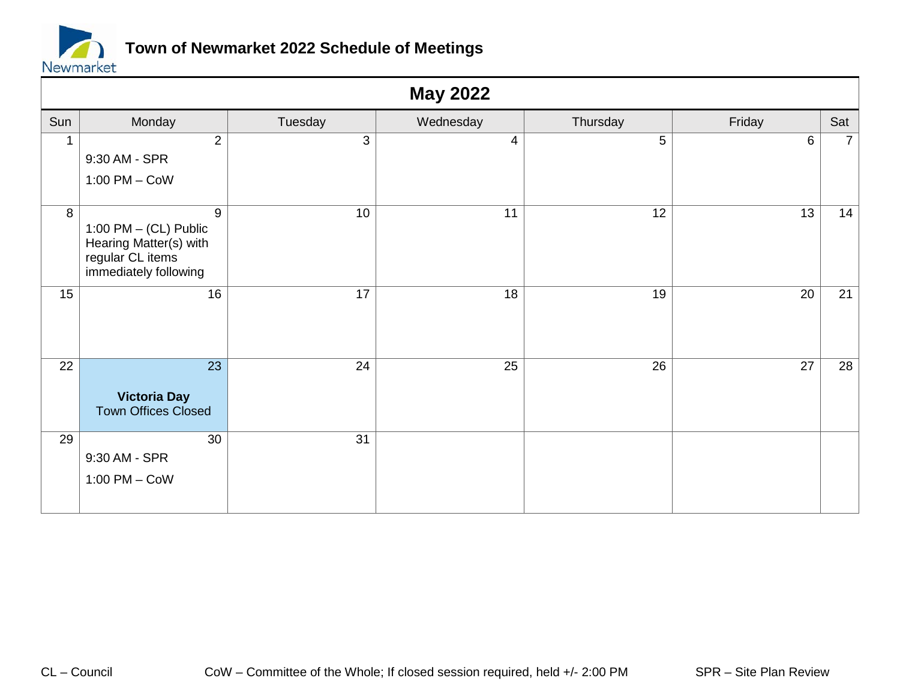

|                | <b>May 2022</b>                                                                                                  |         |                 |                 |                 |                |  |  |  |
|----------------|------------------------------------------------------------------------------------------------------------------|---------|-----------------|-----------------|-----------------|----------------|--|--|--|
| Sun            | Monday                                                                                                           | Tuesday | Wednesday       | Thursday        | Friday          | Sat            |  |  |  |
| $\mathbf 1$    | $\overline{2}$<br>9:30 AM - SPR<br>$1:00$ PM $-$ CoW                                                             | 3       | $\overline{4}$  | 5               | 6               | 7 <sup>1</sup> |  |  |  |
| $\overline{8}$ | $\overline{9}$<br>1:00 PM $-$ (CL) Public<br>Hearing Matter(s) with<br>regular CL items<br>immediately following | 10      | $\overline{11}$ | $\overline{12}$ | $\overline{13}$ | 14             |  |  |  |
| 15             | 16                                                                                                               | 17      | 18              | 19              | 20              | 21             |  |  |  |
| 22             | $\overline{23}$<br><b>Victoria Day</b><br><b>Town Offices Closed</b>                                             | 24      | $\overline{25}$ | $\overline{26}$ | $\overline{27}$ | 28             |  |  |  |
| 29             | 30<br>9:30 AM - SPR<br>$1:00$ PM $-$ CoW                                                                         | 31      |                 |                 |                 |                |  |  |  |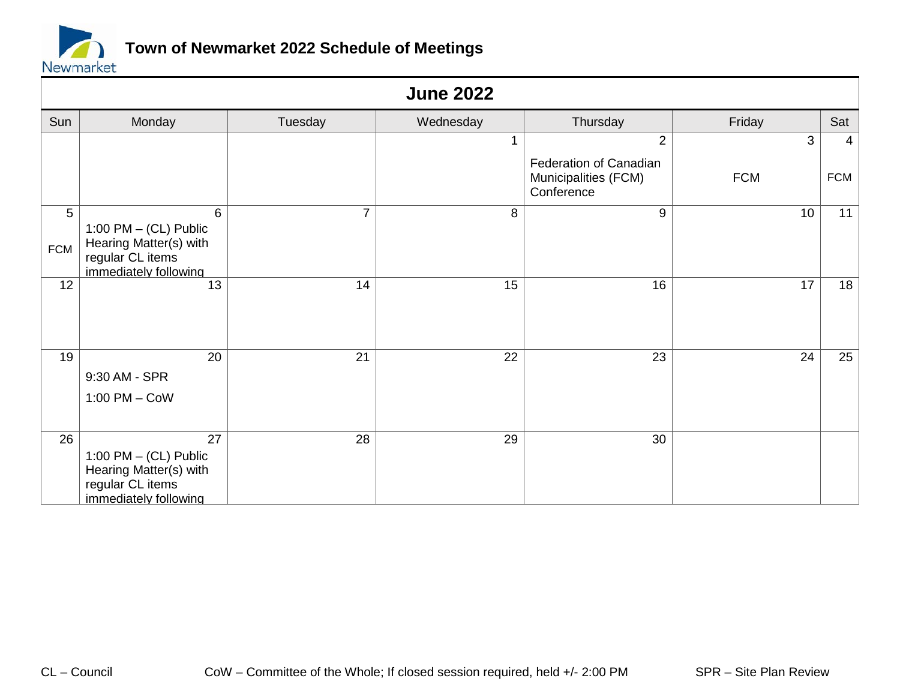

|                 | <b>June 2022</b>                                                                                                 |                 |                 |                                                                     |            |                |  |  |  |
|-----------------|------------------------------------------------------------------------------------------------------------------|-----------------|-----------------|---------------------------------------------------------------------|------------|----------------|--|--|--|
| Sun             | Monday                                                                                                           | Tuesday         | Wednesday       | Thursday                                                            | Friday     | Sat            |  |  |  |
|                 |                                                                                                                  |                 |                 | $\overline{2}$                                                      | 3          | $\overline{4}$ |  |  |  |
|                 |                                                                                                                  |                 |                 | <b>Federation of Canadian</b><br>Municipalities (FCM)<br>Conference | <b>FCM</b> | <b>FCM</b>     |  |  |  |
| 5<br><b>FCM</b> | $6\phantom{1}$<br>1:00 PM $-$ (CL) Public<br>Hearing Matter(s) with<br>regular CL items<br>immediately following | $\overline{7}$  | 8               | 9                                                                   | 10         | 11             |  |  |  |
| $\overline{12}$ | $\overline{13}$                                                                                                  | 14              | 15              | 16                                                                  | 17         | 18             |  |  |  |
| 19              | 20<br>9:30 AM - SPR<br>$1:00$ PM $-$ CoW                                                                         | 21              | $\overline{22}$ | $\overline{23}$                                                     | 24         | 25             |  |  |  |
| $\overline{26}$ | 27<br>1:00 PM $-$ (CL) Public<br>Hearing Matter(s) with<br>regular CL items<br>immediately following             | $\overline{28}$ | $\overline{29}$ | $\overline{30}$                                                     |            |                |  |  |  |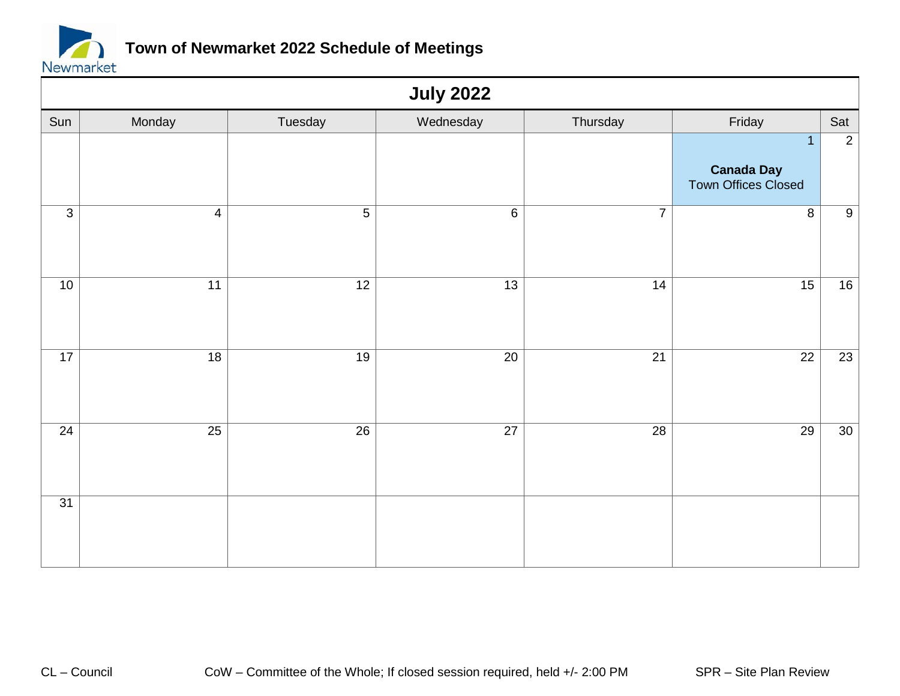

|                 | <b>July 2022</b> |                 |                 |                 |                                                            |                 |  |  |  |
|-----------------|------------------|-----------------|-----------------|-----------------|------------------------------------------------------------|-----------------|--|--|--|
| Sun             | Monday           | Tuesday         | Wednesday       | Thursday        | Friday                                                     | Sat             |  |  |  |
|                 |                  |                 |                 |                 | $\overline{1}$<br><b>Canada Day</b><br>Town Offices Closed | $\overline{2}$  |  |  |  |
| $\overline{3}$  | $\overline{4}$   | $\overline{5}$  | $\overline{6}$  | $\overline{7}$  | $\overline{8}$                                             | $\overline{9}$  |  |  |  |
| $\overline{10}$ | $\overline{11}$  | $\overline{12}$ | $\overline{13}$ | $\overline{14}$ | $\overline{15}$                                            | $\overline{16}$ |  |  |  |
| $\overline{17}$ | $\overline{18}$  | $\overline{19}$ | $\overline{20}$ | $\overline{21}$ | $\overline{22}$                                            | $\overline{23}$ |  |  |  |
| $\overline{24}$ | $\overline{25}$  | $\overline{26}$ | $\overline{27}$ | $\overline{28}$ | $\overline{29}$                                            | $\overline{30}$ |  |  |  |
| $\overline{31}$ |                  |                 |                 |                 |                                                            |                 |  |  |  |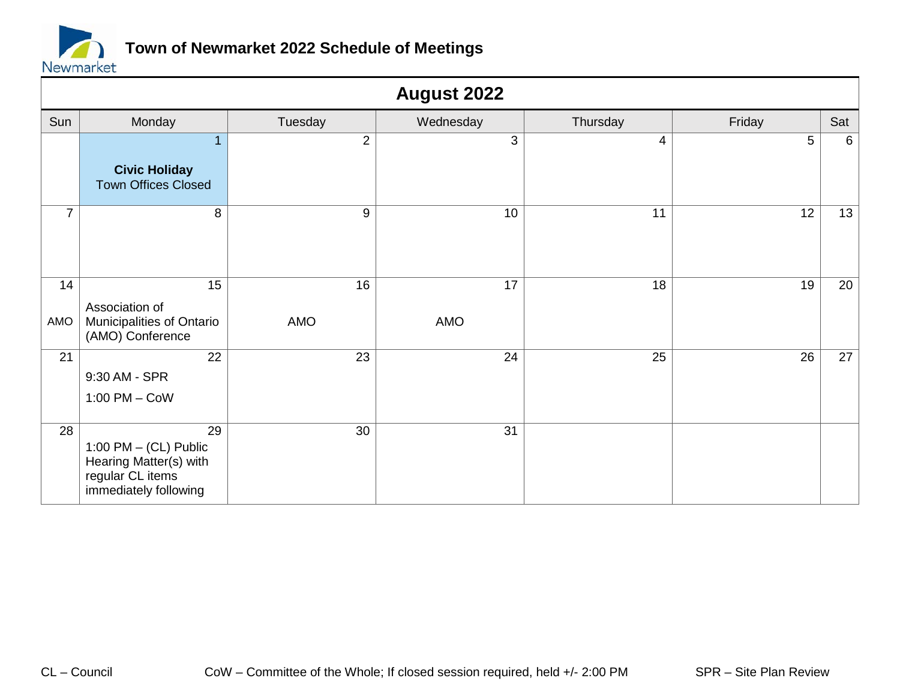

|                 | <b>August 2022</b>                                                                                   |                 |                        |                 |                 |     |  |  |
|-----------------|------------------------------------------------------------------------------------------------------|-----------------|------------------------|-----------------|-----------------|-----|--|--|
| Sun             | Monday                                                                                               | Tuesday         | Wednesday              | Thursday        | Friday          | Sat |  |  |
|                 | $\mathbf{1}$                                                                                         | $\overline{2}$  | 3                      | $\overline{4}$  | $5\phantom{.0}$ | 6   |  |  |
|                 | <b>Civic Holiday</b><br><b>Town Offices Closed</b>                                                   |                 |                        |                 |                 |     |  |  |
| $\overline{7}$  | 8                                                                                                    | 9               | 10                     | 11              | $\overline{12}$ | 13  |  |  |
| 14<br>AMO       | 15<br>Association of<br>Municipalities of Ontario<br>(AMO) Conference                                | 16<br>AMO       | $\overline{17}$<br>AMO | 18              | $\overline{19}$ | 20  |  |  |
| $\overline{21}$ | $\overline{22}$<br>9:30 AM - SPR<br>$1:00$ PM $-$ CoW                                                | $\overline{23}$ | $\overline{24}$        | $\overline{25}$ | $\overline{26}$ | 27  |  |  |
| 28              | 29<br>1:00 PM $-$ (CL) Public<br>Hearing Matter(s) with<br>regular CL items<br>immediately following | 30              | 31                     |                 |                 |     |  |  |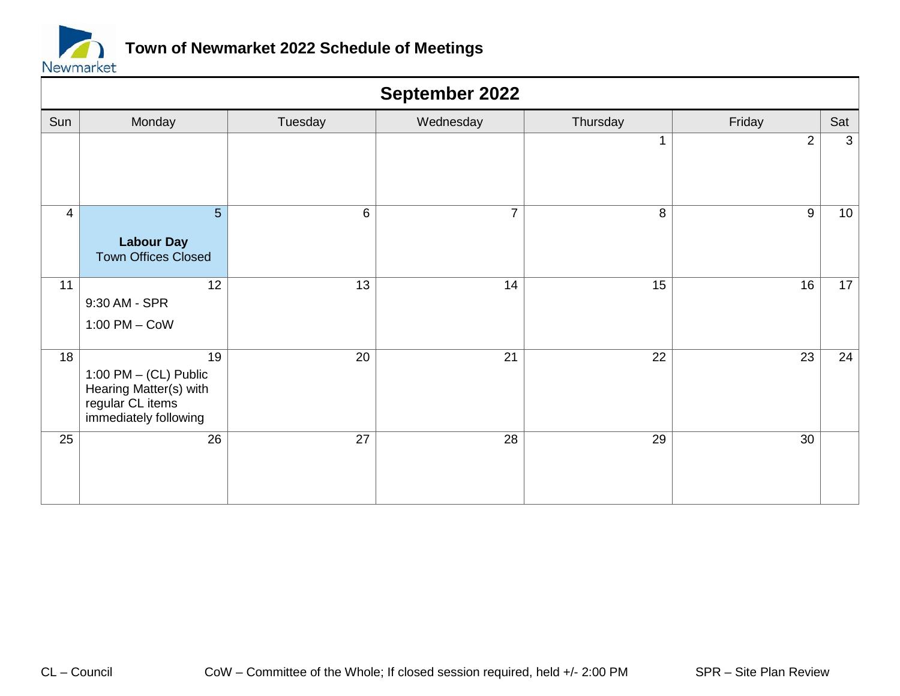

|                 | September 2022                                                                                       |                 |                 |                 |                 |                 |  |  |
|-----------------|------------------------------------------------------------------------------------------------------|-----------------|-----------------|-----------------|-----------------|-----------------|--|--|
| Sun             | Monday                                                                                               | Tuesday         | Wednesday       | Thursday        | Friday          | Sat             |  |  |
|                 |                                                                                                      |                 |                 | 1               | 2               | $\mathbf{3}$    |  |  |
| $\overline{4}$  | $5\phantom{.}$<br><b>Labour Day</b><br><b>Town Offices Closed</b>                                    | $6\phantom{1}$  | $\overline{7}$  | 8               | 9               | 10 <sub>1</sub> |  |  |
| 11              | $\overline{12}$<br>9:30 AM - SPR<br>$1:00$ PM $-$ CoW                                                | 13              | 14              | 15              | 16              | 17 <sup>1</sup> |  |  |
| $\overline{18}$ | 19<br>1:00 PM $-$ (CL) Public<br>Hearing Matter(s) with<br>regular CL items<br>immediately following | $\overline{20}$ | $\overline{21}$ | $\overline{22}$ | $\overline{23}$ | 24              |  |  |
| 25              | 26                                                                                                   | $\overline{27}$ | $\overline{28}$ | $\overline{29}$ | 30              |                 |  |  |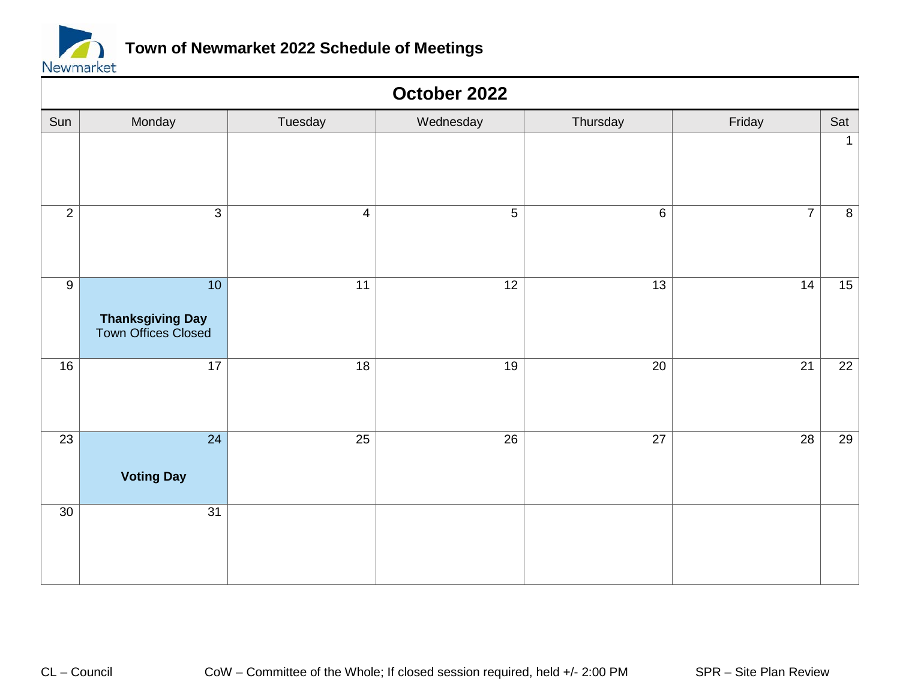

|                 | October 2022                                                      |                 |                 |                 |                 |                 |  |  |  |
|-----------------|-------------------------------------------------------------------|-----------------|-----------------|-----------------|-----------------|-----------------|--|--|--|
| Sun             | Monday                                                            | Tuesday         | Wednesday       | Thursday        | Friday          | Sat             |  |  |  |
|                 |                                                                   |                 |                 |                 |                 | $\overline{1}$  |  |  |  |
| $\overline{2}$  | $\overline{3}$                                                    | $\overline{4}$  | $\overline{5}$  | $\overline{6}$  | $\overline{7}$  | $\overline{8}$  |  |  |  |
| $\overline{9}$  | $\overline{10}$<br><b>Thanksgiving Day</b><br>Town Offices Closed | $\overline{11}$ | $\overline{12}$ | $\overline{13}$ | $\overline{14}$ | 15              |  |  |  |
| $\overline{16}$ | $\overline{17}$                                                   | $\overline{18}$ | $\overline{19}$ | $\overline{20}$ | $\overline{21}$ | $\overline{22}$ |  |  |  |
| $\overline{23}$ | $\overline{24}$<br><b>Voting Day</b>                              | $\overline{25}$ | $\overline{26}$ | $\overline{27}$ | $\overline{28}$ | 29              |  |  |  |
| 30              | $\overline{31}$                                                   |                 |                 |                 |                 |                 |  |  |  |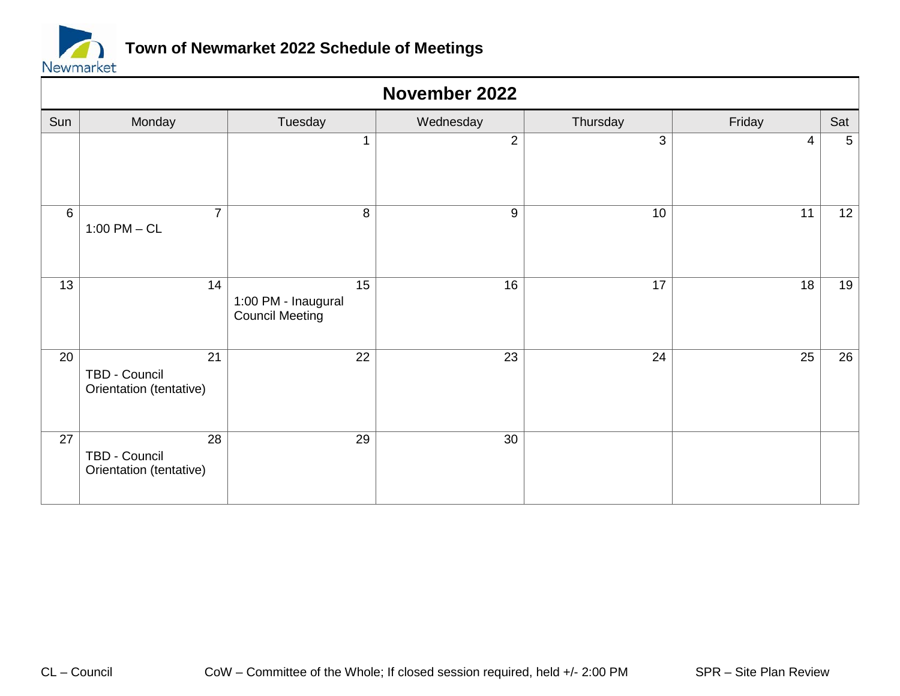

|                 | November 2022                                               |                                                     |                 |                 |                 |                 |  |  |
|-----------------|-------------------------------------------------------------|-----------------------------------------------------|-----------------|-----------------|-----------------|-----------------|--|--|
| Sun             | Monday                                                      | Tuesday                                             | Wednesday       | Thursday        | Friday          | Sat             |  |  |
|                 |                                                             | $\mathbf 1$                                         | $\overline{2}$  | 3               | $\overline{4}$  | $5\phantom{.0}$ |  |  |
| 6               | $\overline{7}$<br>$1:00$ PM $-$ CL                          | 8                                                   | 9               | 10              | 11              | 12 <sub>2</sub> |  |  |
| $\overline{13}$ | 14                                                          | 15<br>1:00 PM - Inaugural<br><b>Council Meeting</b> | $\overline{16}$ | $\overline{17}$ | $\overline{18}$ | 19              |  |  |
| 20              | $\overline{21}$<br>TBD - Council<br>Orientation (tentative) | $\overline{22}$                                     | $\overline{23}$ | $\overline{24}$ | $\overline{25}$ | 26              |  |  |
| 27              | 28<br>TBD - Council<br>Orientation (tentative)              | 29                                                  | 30              |                 |                 |                 |  |  |